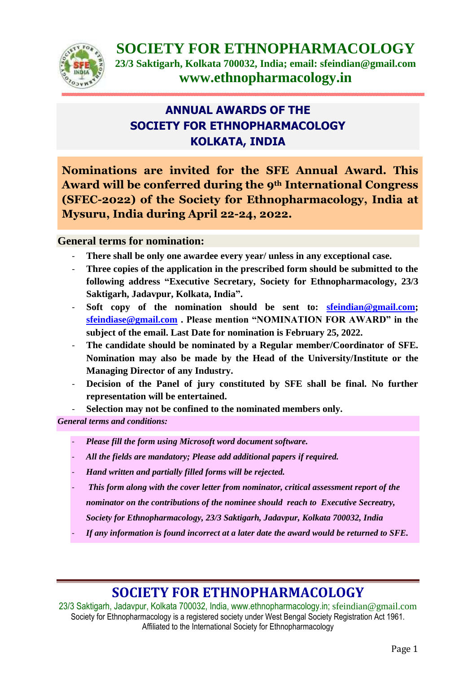

## **ANNUAL AWARDS OF THE SOCIETY FOR ETHNOPHARMACOLOGY KOLKATA, INDIA**

**Nominations are invited for the SFE Annual Award. This Award will be conferred during the 9th International Congress (SFEC-2022) of the Society for Ethnopharmacology, India at Mysuru, India during April 22-24, 2022.** 

### **General terms for nomination:**

- There shall be only one awardee every year/ unless in any exceptional case.
- **Three copies of the application in the prescribed form should be submitted to the following address "Executive Secretary, Society for Ethnopharmacology, 23/3 Saktigarh, Jadavpur, Kolkata, India".**
- **Soft copy of the nomination should be sent to: [sfeindian@gmail.com;](mailto:sfeindian@gmail.com) [sfeindiase@gmail.com](mailto:sfeindiase@gmail.com) . Please mention "NOMINATION FOR AWARD" in the subject of the email. Last Date for nomination is February 25, 2022.**
- The candidate should be nominated by a Regular member/Coordinator of SFE. **Nomination may also be made by the Head of the University/Institute or the Managing Director of any Industry.**
- **Decision of the Panel of jury constituted by SFE shall be final. No further representation will be entertained.**

Selection may not be confined to the nominated members only.

*General terms and conditions:* 

- *Please fill the form using Microsoft word document software.*
- *All the fields are mandatory; Please add additional papers if required.*
- *Hand written and partially filled forms will be rejected.*
- - *This form along with the cover letter from nominator, critical assessment report of the* 
	- *nominator on the contributions of the nominee should reach to Executive Secreatry,*
	- *Society for Ethnopharmacology, 23/3 Saktigarh, Jadavpur, Kolkata 700032, India*
- *If any information is found incorrect at a later date the award would be returned to SFE.*

# **SOCIETY FOR ETHNOPHARMACOLOGY**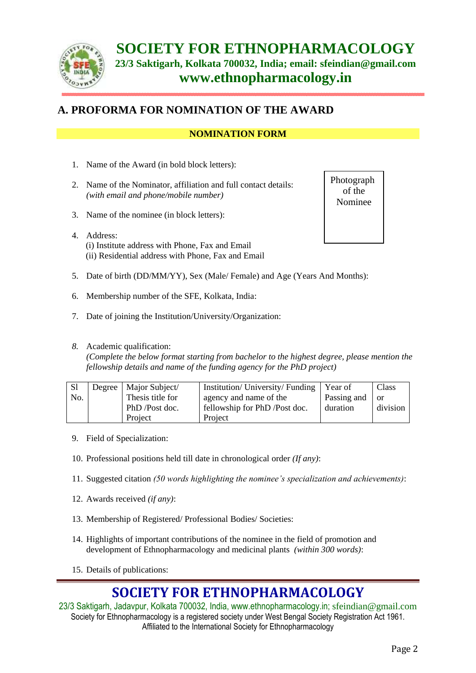

### **A. PROFORMA FOR NOMINATION OF THE AWARD**

### **NOMINATION FORM**

- 1. Name of the Award (in bold block letters):
- 2. Name of the Nominator, affiliation and full contact details: *(with email and phone/mobile number)*
- 3. Name of the nominee (in block letters):
- 4. Address: (i) Institute address with Phone, Fax and Email (ii) Residential address with Phone, Fax and Email
- 5. Date of birth (DD/MM/YY), Sex (Male/ Female) and Age (Years And Months):
- 6. Membership number of the SFE, Kolkata, India:
- 7. Date of joining the Institution/University/Organization:
- *8.* Academic qualification:

*(Complete the below format starting from bachelor to the highest degree, please mention the fellowship details and name of the funding agency for the PhD project)* 

| S <sub>1</sub> | Degree   Major Subject/ | Institution/ University/ Funding   Year of |             | Class    |
|----------------|-------------------------|--------------------------------------------|-------------|----------|
| No.            | Thesis title for        | agency and name of the                     | Passing and | - or     |
|                | PhD /Post doc.          | fellowship for PhD /Post doc.              | duration    | division |
|                | Project                 | Project                                    |             |          |

- 9. Field of Specialization:
- 10. Professional positions held till date in chronological order *(If any)*:
- 11. Suggested citation *(50 words highlighting the nominee's specialization and achievements)*:
- 12. Awards received *(if any)*:
- 13. Membership of Registered/ Professional Bodies/ Societies:
- 14. Highlights of important contributions of the nominee in the field of promotion and development of Ethnopharmacology and medicinal plants *(within 300 words)*:
- 15. Details of publications:

# **SOCIETY FOR ETHNOPHARMACOLOGY**

23/3 Saktigarh, Jadavpur, Kolkata 700032, India, [www.ethnopharmacology.in;](http://www.ethnopharmacology.in/) [sfeindian@gmail.com](mailto:sfeindian@gmail.com) Society for Ethnopharmacology is a registered society under West Bengal Society Registration Act 1961. Affiliated to the International Society for Ethnopharmacology

Photograph of the Nominee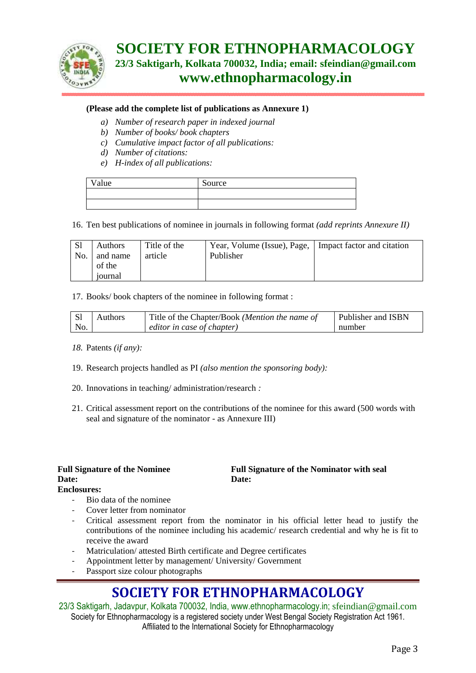

#### **(Please add the complete list of publications as Annexure 1)**

- *a) Number of research paper in indexed journal*
- *b) Number of books/ book chapters*
- *c) Cumulative impact factor of all publications:*
- *d) Number of citations:*
- *e) H-index of all publications:*

| alue | Source |
|------|--------|
|      |        |
|      |        |

16. Ten best publications of nominee in journals in following format *(add reprints Annexure II)* 

| -S1 | <b>Authors</b> | Title of the | Year, Volume (Issue), Page,   Impact factor and citation |  |
|-----|----------------|--------------|----------------------------------------------------------|--|
| No. | and name       | article      | Publisher                                                |  |
|     | of the         |              |                                                          |  |
|     | 10urnal        |              |                                                          |  |

#### 17. Books/ book chapters of the nominee in following format :

|     | <b>Authors</b> | Title of the Chapter/Book (Mention the name of | <b>Publisher and ISBN</b> |
|-----|----------------|------------------------------------------------|---------------------------|
| No. |                | editor in case of chapter)                     | number                    |

#### *18.* Patents *(if any):*

- 19. Research projects handled as PI *(also mention the sponsoring body):*
- 20. Innovations in teaching/ administration/research *:*
- 21. Critical assessment report on the contributions of the nominee for this award (500 words with seal and signature of the nominator - as Annexure III)

|                    | <b>Full Signature of the Nominee</b> |
|--------------------|--------------------------------------|
| <b>Date:</b>       |                                      |
| <b>Enclosures:</b> |                                      |

#### **Full Signature of the Nominator with seal Date:**

- Bio data of the nominee
- Cover letter from nominator
- Critical assessment report from the nominator in his official letter head to justify the contributions of the nominee including his academic/ research credential and why he is fit to receive the award
- Matriculation/ attested Birth certificate and Degree certificates
- Appointment letter by management/ University/ Government
- Passport size colour photographs

# **SOCIETY FOR ETHNOPHARMACOLOGY**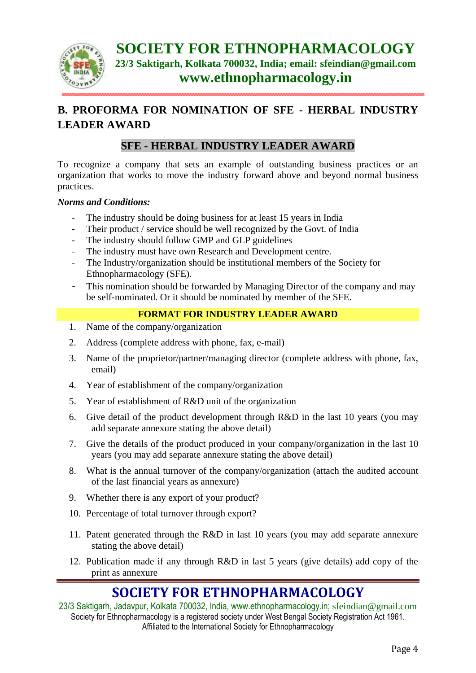

## **B. PROFORMA FOR NOMINATION OF SFE - HERBAL INDUSTRY LEADER AWARD**

### **SFE - HERBAL INDUSTRY LEADER AWARD**

To recognize a company that sets an example of outstanding business practices or an organization that works to move the industry forward above and beyond normal business practices.

#### *Norms and Conditions:*

- The industry should be doing business for at least 15 years in India
- Their product / service should be well recognized by the Govt. of India
- The industry should follow GMP and GLP guidelines
- The industry must have own Research and Development centre.
- The Industry/organization should be institutional members of the Society for Ethnopharmacology (SFE).
- This nomination should be forwarded by Managing Director of the company and may be self-nominated. Or it should be nominated by member of the SFE.

### **FORMAT FOR INDUSTRY LEADER AWARD**

- 1. Name of the company/organization
- 2. Address (complete address with phone, fax, e-mail)
- 3. Name of the proprietor/partner/managing director (complete address with phone, fax, email)
- 4. Year of establishment of the company/organization
- 5. Year of establishment of R&D unit of the organization
- 6. Give detail of the product development through R&D in the last 10 years (you may add separate annexure stating the above detail)
- 7. Give the details of the product produced in your company/organization in the last 10 years (you may add separate annexure stating the above detail)
- 8. What is the annual turnover of the company/organization (attach the audited account of the last financial years as annexure)
- 9. Whether there is any export of your product?
- 10. Percentage of total turnover through export?
- 11. Patent generated through the R&D in last 10 years (you may add separate annexure stating the above detail)
- 12. Publication made if any through R&D in last 5 years (give details) add copy of the print as annexure

# **SOCIETY FOR ETHNOPHARMACOLOGY**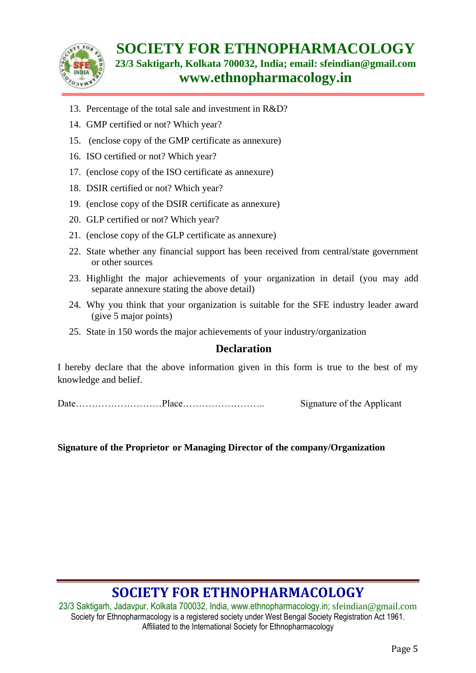

- 13. Percentage of the total sale and investment in R&D?
- 14. GMP certified or not? Which year?
- 15. (enclose copy of the GMP certificate as annexure)
- 16. ISO certified or not? Which year?
- 17. (enclose copy of the ISO certificate as annexure)
- 18. DSIR certified or not? Which year?
- 19. (enclose copy of the DSIR certificate as annexure)
- 20. GLP certified or not? Which year?
- 21. (enclose copy of the GLP certificate as annexure)
- 22. State whether any financial support has been received from central/state government or other sources
- 23. Highlight the major achievements of your organization in detail (you may add separate annexure stating the above detail)
- 24. Why you think that your organization is suitable for the SFE industry leader award (give 5 major points)
- 25. State in 150 words the major achievements of your industry/organization

### **Declaration**

I hereby declare that the above information given in this form is true to the best of my knowledge and belief.

Date………………………Place…………………….. Signature of the Applicant

**Signature of the Proprietor or Managing Director of the company/Organization** 

# **SOCIETY FOR ETHNOPHARMACOLOGY**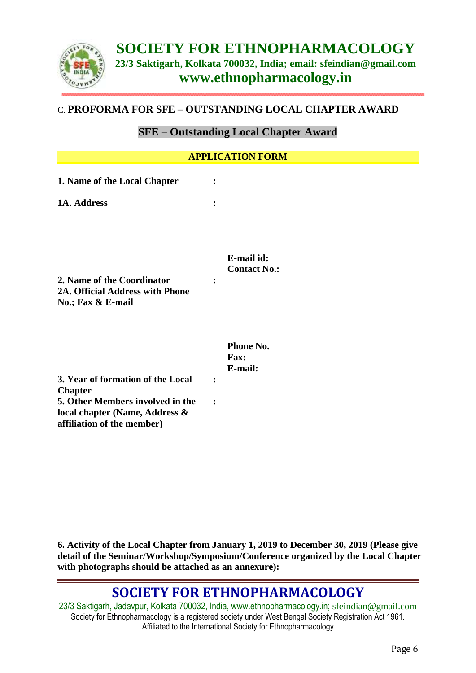

### C. **PROFORMA FOR SFE – OUTSTANDING LOCAL CHAPTER AWARD**

### **SFE – Outstanding Local Chapter Award**

| <b>APPLICATION FORM</b>                                                                                                                                 |                                                |  |  |  |
|---------------------------------------------------------------------------------------------------------------------------------------------------------|------------------------------------------------|--|--|--|
| 1. Name of the Local Chapter                                                                                                                            | $\ddot{\cdot}$                                 |  |  |  |
| 1A. Address                                                                                                                                             |                                                |  |  |  |
| 2. Name of the Coordinator<br>2A. Official Address with Phone<br>No.; Fax & E-mail                                                                      | E-mail id:<br><b>Contact No.:</b>              |  |  |  |
| 3. Year of formation of the Local<br><b>Chapter</b><br>5. Other Members involved in the<br>local chapter (Name, Address &<br>affiliation of the member) | Phone No.<br>Fax:<br>E-mail:<br>$\ddot{\cdot}$ |  |  |  |

**6. Activity of the Local Chapter from January 1, 2019 to December 30, 2019 (Please give detail of the Seminar/Workshop/Symposium/Conference organized by the Local Chapter with photographs should be attached as an annexure):**

## **SOCIETY FOR ETHNOPHARMACOLOGY**